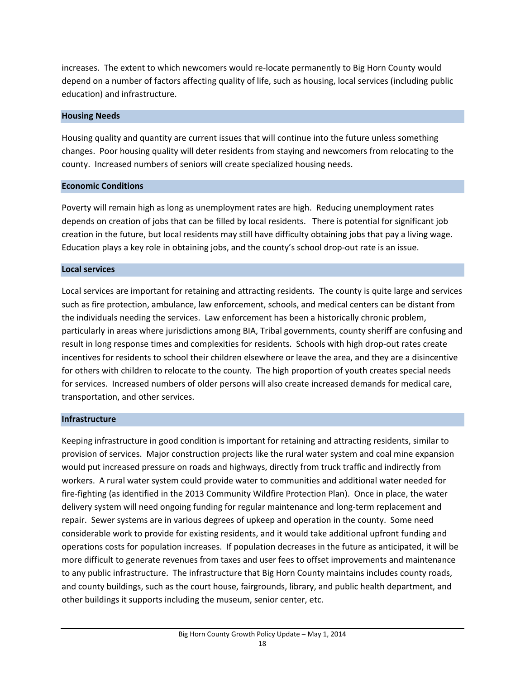increases. The extent to which newcomers would re‐locate permanently to Big Horn County would depend on a number of factors affecting quality of life, such as housing, local services (including public education) and infrastructure.

## **Housing Needs**

Housing quality and quantity are current issues that will continue into the future unless something changes. Poor housing quality will deter residents from staying and newcomers from relocating to the county. Increased numbers of seniors will create specialized housing needs.

## **Economic Conditions**

Poverty will remain high as long as unemployment rates are high. Reducing unemployment rates depends on creation of jobs that can be filled by local residents. There is potential for significant job creation in the future, but local residents may still have difficulty obtaining jobs that pay a living wage. Education plays a key role in obtaining jobs, and the county's school drop-out rate is an issue.

## **Local services**

Local services are important for retaining and attracting residents. The county is quite large and services such as fire protection, ambulance, law enforcement, schools, and medical centers can be distant from the individuals needing the services. Law enforcement has been a historically chronic problem, particularly in areas where jurisdictions among BIA, Tribal governments, county sheriff are confusing and result in long response times and complexities for residents. Schools with high drop-out rates create incentives for residents to school their children elsewhere or leave the area, and they are a disincentive for others with children to relocate to the county. The high proportion of youth creates special needs for services. Increased numbers of older persons will also create increased demands for medical care, transportation, and other services.

### **Infrastructure**

Keeping infrastructure in good condition is important for retaining and attracting residents, similar to provision of services. Major construction projects like the rural water system and coal mine expansion would put increased pressure on roads and highways, directly from truck traffic and indirectly from workers. A rural water system could provide water to communities and additional water needed for fire‐fighting (as identified in the 2013 Community Wildfire Protection Plan). Once in place, the water delivery system will need ongoing funding for regular maintenance and long‐term replacement and repair. Sewer systems are in various degrees of upkeep and operation in the county. Some need considerable work to provide for existing residents, and it would take additional upfront funding and operations costs for population increases. If population decreases in the future as anticipated, it will be more difficult to generate revenues from taxes and user fees to offset improvements and maintenance to any public infrastructure. The infrastructure that Big Horn County maintains includes county roads, and county buildings, such as the court house, fairgrounds, library, and public health department, and other buildings it supports including the museum, senior center, etc.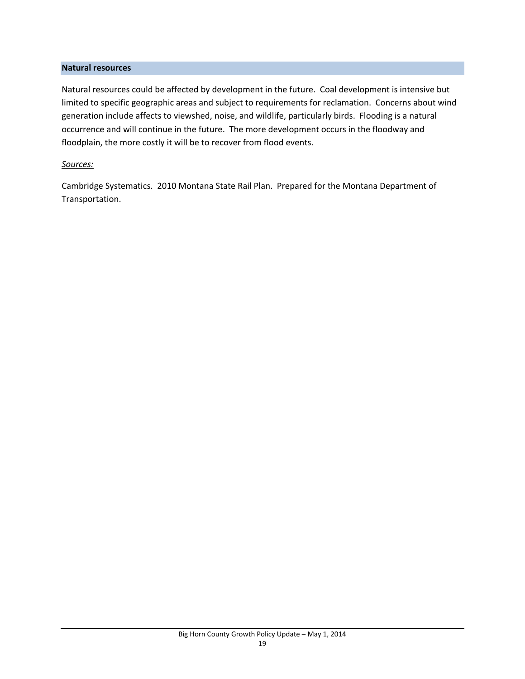## **Natural resources**

Natural resources could be affected by development in the future. Coal development is intensive but limited to specific geographic areas and subject to requirements for reclamation. Concerns about wind generation include affects to viewshed, noise, and wildlife, particularly birds. Flooding is a natural occurrence and will continue in the future. The more development occurs in the floodway and floodplain, the more costly it will be to recover from flood events.

## *Sources:*

Cambridge Systematics. 2010 Montana State Rail Plan. Prepared for the Montana Department of Transportation.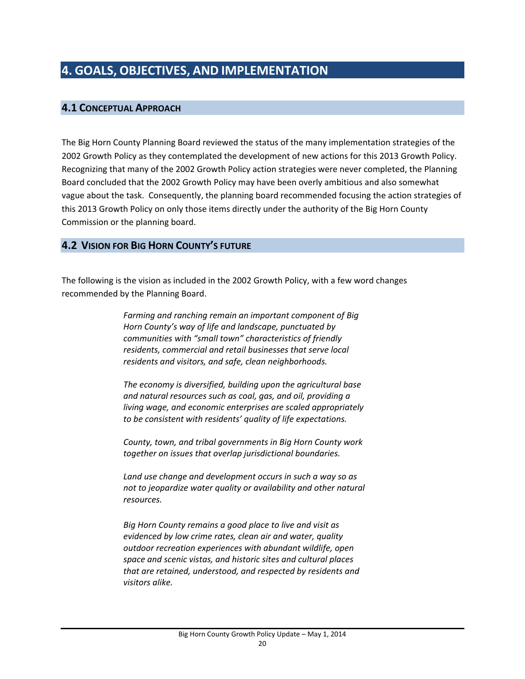# **4.1 CONCEPTUAL APPROACH**

The Big Horn County Planning Board reviewed the status of the many implementation strategies of the 2002 Growth Policy as they contemplated the development of new actions for this 2013 Growth Policy. Recognizing that many of the 2002 Growth Policy action strategies were never completed, the Planning Board concluded that the 2002 Growth Policy may have been overly ambitious and also somewhat vague about the task. Consequently, the planning board recommended focusing the action strategies of this 2013 Growth Policy on only those items directly under the authority of the Big Horn County Commission or the planning board.

## **4.2 VISION FOR BIG HORN COUNTY'S FUTURE**

The following is the vision as included in the 2002 Growth Policy, with a few word changes recommended by the Planning Board.

> *Farming and ranching remain an important component of Big Horn County's way of life and landscape, punctuated by communities with "small town" characteristics of friendly residents, commercial and retail businesses that serve local residents and visitors, and safe, clean neighborhoods.*

*The economy is diversified, building upon the agricultural base and natural resources such as coal, gas, and oil, providing a living wage, and economic enterprises are scaled appropriately to be consistent with residents' quality of life expectations.*

*County, town, and tribal governments in Big Horn County work together on issues that overlap jurisdictional boundaries.*

*Land use change and development occurs in such a way so as not to jeopardize water quality or availability and other natural resources.*

*Big Horn County remains a good place to live and visit as evidenced by low crime rates, clean air and water, quality outdoor recreation experiences with abundant wildlife, open space and scenic vistas, and historic sites and cultural places that are retained, understood, and respected by residents and visitors alike.*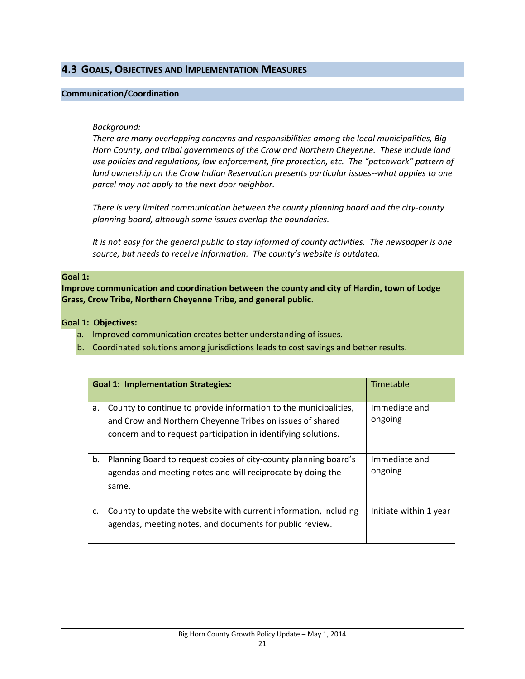## **4.3 GOALS, OBJECTIVES AND IMPLEMENTATION MEASURES**

### **Communication/Coordination**

### *Background:*

*There are many overlapping concerns and responsibilities among the local municipalities, Big Horn County, and tribal governments of the Crow and Northern Cheyenne. These include land use policies and regulations, law enforcement, fire protection, etc. The "patchwork" pattern of land ownership on the Crow Indian Reservation presents particular issues‐‐what applies to one parcel may not apply to the next door neighbor.* 

*There is very limited communication between the county planning board and the city‐county planning board, although some issues overlap the boundaries.*

It is not easy for the general public to stay informed of county activities. The newspaper is one *source, but needs to receive information. The county's website is outdated.* 

#### **Goal 1:**

**Improve communication and coordination between the county and city of Hardin, town of Lodge Grass, Crow Tribe, Northern Cheyenne Tribe, and general public**.

**Goal 1: Objectives:** 

- a. Improved communication creates better understanding of issues.
- b. Coordinated solutions among jurisdictions leads to cost savings and better results.

| <b>Goal 1: Implementation Strategies:</b> |                                                                                                                                                                                                 | Timetable                |
|-------------------------------------------|-------------------------------------------------------------------------------------------------------------------------------------------------------------------------------------------------|--------------------------|
| a.                                        | County to continue to provide information to the municipalities,<br>and Crow and Northern Cheyenne Tribes on issues of shared<br>concern and to request participation in identifying solutions. | Immediate and<br>ongoing |
| b.                                        | Planning Board to request copies of city-county planning board's<br>agendas and meeting notes and will reciprocate by doing the<br>same.                                                        | Immediate and<br>ongoing |
| c.                                        | County to update the website with current information, including<br>agendas, meeting notes, and documents for public review.                                                                    | Initiate within 1 year   |